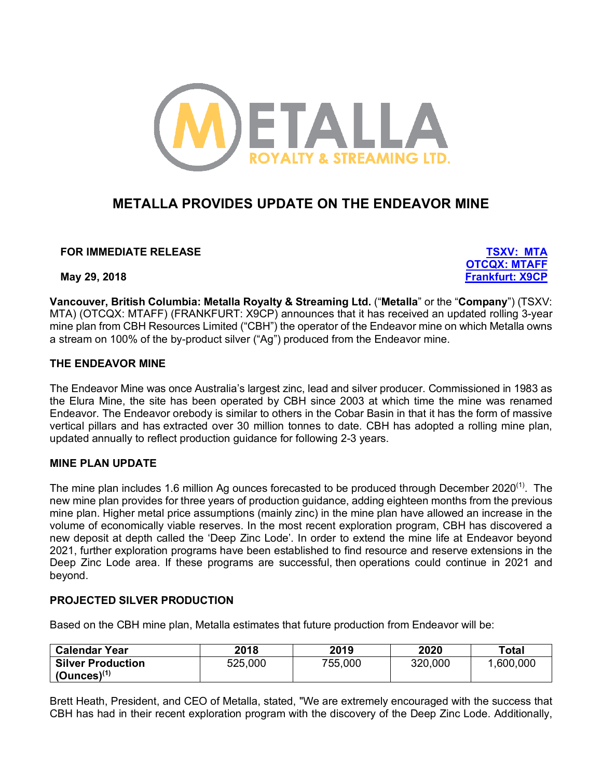

# **METALLA PROVIDES UPDATE ON THE ENDEAVOR MINE**

**FOR IMMEDIATE RELEASE TSXV: MTA**

**OTCQX: MTAFF May 29, 2018 Frankfurt: X9CP**

**Vancouver, British Columbia: Metalla Royalty & Streaming Ltd.** ("**Metalla**" or the "**Company**") (TSXV: MTA) (OTCQX: MTAFF) (FRANKFURT: X9CP) announces that it has received an updated rolling 3-year mine plan from CBH Resources Limited ("CBH") the operator of the Endeavor mine on which Metalla owns a stream on 100% of the by-product silver ("Ag") produced from the Endeavor mine.

#### **THE ENDEAVOR MINE**

The Endeavor Mine was once Australia's largest zinc, lead and silver producer. Commissioned in 1983 as the Elura Mine, the site has been operated by CBH since 2003 at which time the mine was renamed Endeavor. The Endeavor orebody is similar to others in the Cobar Basin in that it has the form of massive vertical pillars and has extracted over 30 million tonnes to date. CBH has adopted a rolling mine plan, updated annually to reflect production guidance for following 2-3 years.

## **MINE PLAN UPDATE**

The mine plan includes 1.6 million Ag ounces forecasted to be produced through December 2020<sup>(1)</sup>. The new mine plan provides for three years of production guidance, adding eighteen months from the previous mine plan. Higher metal price assumptions (mainly zinc) in the mine plan have allowed an increase in the volume of economically viable reserves. In the most recent exploration program, CBH has discovered a new deposit at depth called the 'Deep Zinc Lode'. In order to extend the mine life at Endeavor beyond 2021, further exploration programs have been established to find resource and reserve extensions in the Deep Zinc Lode area. If these programs are successful, then operations could continue in 2021 and beyond.

## **PROJECTED SILVER PRODUCTION**

Based on the CBH mine plan, Metalla estimates that future production from Endeavor will be:

| <b>Calendar Year</b>     | 2018    | 2019    | 2020    | Total     |
|--------------------------|---------|---------|---------|-----------|
| <b>Silver Production</b> | 525,000 | 755,000 | 320,000 | 1,600,000 |
| $(Qunces)^{(1)}$         |         |         |         |           |

Brett Heath, President, and CEO of Metalla, stated, "We are extremely encouraged with the success that CBH has had in their recent exploration program with the discovery of the Deep Zinc Lode. Additionally,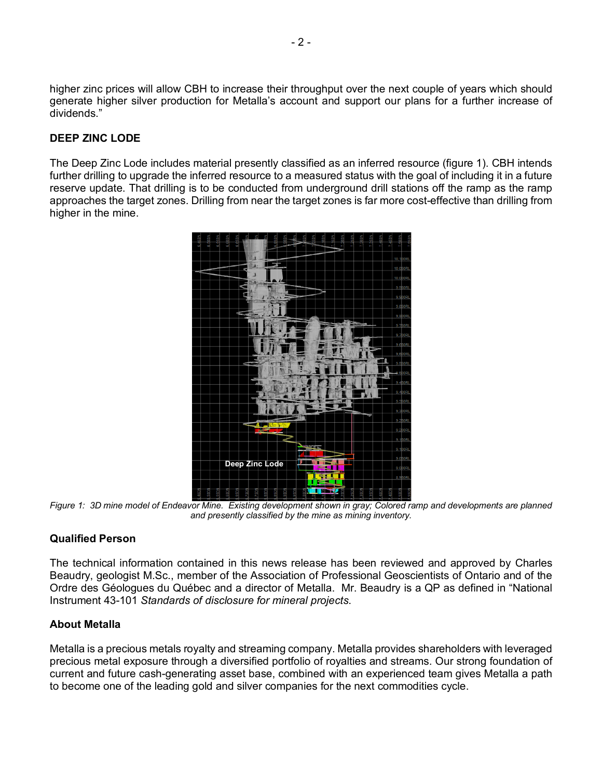higher zinc prices will allow CBH to increase their throughput over the next couple of years which should generate higher silver production for Metalla's account and support our plans for a further increase of dividends."

## **DEEP ZINC LODE**

The Deep Zinc Lode includes material presently classified as an inferred resource (figure 1). CBH intends further drilling to upgrade the inferred resource to a measured status with the goal of including it in a future reserve update. That drilling is to be conducted from underground drill stations off the ramp as the ramp approaches the target zones. Drilling from near the target zones is far more cost-effective than drilling from higher in the mine.



*Figure 1: 3D mine model of Endeavor Mine. Existing development shown in gray; Colored ramp and developments are planned and presently classified by the mine as mining inventory.*

## **Qualified Person**

The technical information contained in this news release has been reviewed and approved by Charles Beaudry, geologist M.Sc., member of the Association of Professional Geoscientists of Ontario and of the Ordre des Géologues du Québec and a director of Metalla. Mr. Beaudry is a QP as defined in "National Instrument 43-101 *Standards of disclosure for mineral projects*.

## **About Metalla**

Metalla is a precious metals royalty and streaming company. Metalla provides shareholders with leveraged precious metal exposure through a diversified portfolio of royalties and streams. Our strong foundation of current and future cash-generating asset base, combined with an experienced team gives Metalla a path to become one of the leading gold and silver companies for the next commodities cycle.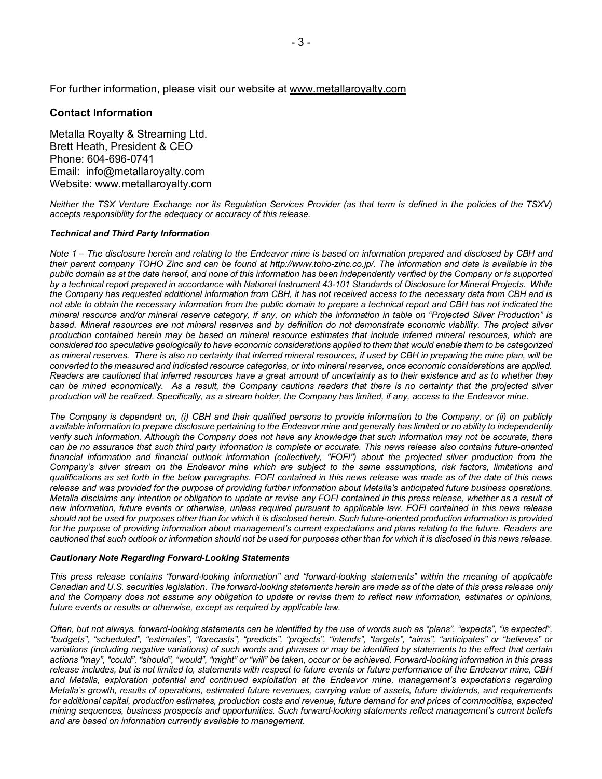#### **Contact Information**

Metalla Royalty & Streaming Ltd. Brett Heath, President & CEO Phone: 604-696-0741 Email: info@metallaroyalty.com Website: www.metallaroyalty.com

*Neither the TSX Venture Exchange nor its Regulation Services Provider (as that term is defined in the policies of the TSXV) accepts responsibility for the adequacy or accuracy of this release.*

#### *Technical and Third Party Information*

*Note 1 – The disclosure herein and relating to the Endeavor mine is based on information prepared and disclosed by CBH and their parent company TOHO Zinc and can be found at http://www.toho-zinc.co.jp/. The information and data is available in the public domain as at the date hereof, and none of this information has been independently verified by the Company or is supported by a technical report prepared in accordance with National Instrument 43-101 Standards of Disclosure for Mineral Projects. While the Company has requested additional information from CBH, it has not received access to the necessary data from CBH and is not able to obtain the necessary information from the public domain to prepare a technical report and CBH has not indicated the mineral resource and/or mineral reserve category, if any, on which the information in table on "Projected Silver Production" is based. Mineral resources are not mineral reserves and by definition do not demonstrate economic viability. The project silver production contained herein may be based on mineral resource estimates that include inferred mineral resources, which are considered too speculative geologically to have economic considerations applied to them that would enable them to be categorized as mineral reserves. There is also no certainty that inferred mineral resources, if used by CBH in preparing the mine plan, will be converted to the measured and indicated resource categories, or into mineral reserves, once economic considerations are applied. Readers are cautioned that inferred resources have a great amount of uncertainty as to their existence and as to whether they* can be mined economically. As a result, the Company cautions readers that there is no certainty that the projected silver *production will be realized. Specifically, as a stream holder, the Company has limited, if any, access to the Endeavor mine.* 

*The Company is dependent on, (i) CBH and their qualified persons to provide information to the Company, or (ii) on publicly available information to prepare disclosure pertaining to the Endeavor mine and generally has limited or no ability to independently verify such information. Although the Company does not have any knowledge that such information may not be accurate, there can be no assurance that such third party information is complete or accurate. This news release also contains future-oriented financial information and financial outlook information (collectively, "FOFI") about the projected silver production from the Company's silver stream on the Endeavor mine which are subject to the same assumptions, risk factors, limitations and qualifications as set forth in the below paragraphs. FOFI contained in this news release was made as of the date of this news release and was provided for the purpose of providing further information about Metalla's anticipated future business operations. Metalla disclaims any intention or obligation to update or revise any FOFI contained in this press release, whether as a result of new information, future events or otherwise, unless required pursuant to applicable law. FOFI contained in this news release should not be used for purposes other than for which it is disclosed herein. Such future-oriented production information is provided for the purpose of providing information about management's current expectations and plans relating to the future. Readers are cautioned that such outlook or information should not be used for purposes other than for which it is disclosed in this news release.*

#### *Cautionary Note Regarding Forward-Looking Statements*

*This press release contains "forward-looking information" and "forward-looking statements" within the meaning of applicable Canadian and U.S. securities legislation. The forward-looking statements herein are made as of the date of this press release only and the Company does not assume any obligation to update or revise them to reflect new information, estimates or opinions, future events or results or otherwise, except as required by applicable law.* 

Often, but not always, forward-looking statements can be identified by the use of words such as "plans", "expects", "is expected", *"budgets", "scheduled", "estimates", "forecasts", "predicts", "projects", "intends", "targets", "aims", "anticipates" or "believes" or variations (including negative variations) of such words and phrases or may be identified by statements to the effect that certain actions "may", "could", "should", "would", "might" or "will" be taken, occur or be achieved. Forward-looking information in this press release includes, but is not limited to, statements with respect to future events or future performance of the Endeavor mine, CBH*  and Metalla, exploration potential and continued exploitation at the Endeavor mine, management's expectations regarding *Metalla's growth, results of operations, estimated future revenues, carrying value of assets, future dividends, and requirements for additional capital, production estimates, production costs and revenue, future demand for and prices of commodities, expected mining sequences, business prospects and opportunities. Such forward-looking statements reflect management's current beliefs and are based on information currently available to management.*